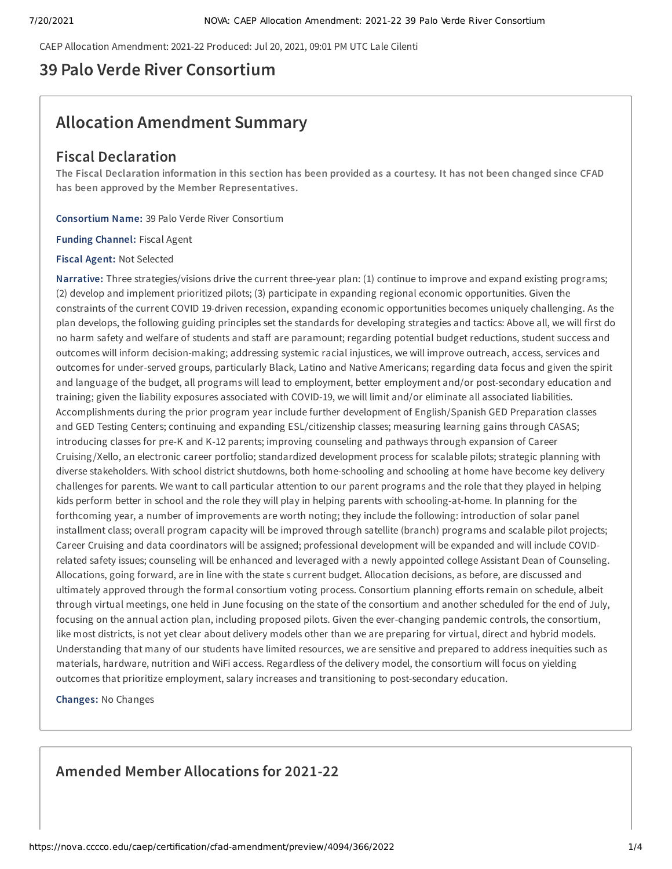CAEP Allocation Amendment: 2021-22 Produced: Jul 20, 2021, 09:01 PM UTC Lale Cilenti

# **39 Palo Verde River Consortium**

# **Allocation Amendment Summary**

# **Fiscal Declaration**

The Fiscal Declaration information in this section has been provided as a courtesy. It has not been changed since CFAD **has been approved by the Member Representatives.**

**Consortium Name:** 39 Palo Verde River Consortium

**Funding Channel:** Fiscal Agent

**Fiscal Agent:** Not Selected

**Narrative:** Three strategies/visions drive the current three-year plan: (1) continue to improve and expand existing programs; (2) develop and implement prioritized pilots; (3) participate in expanding regional economic opportunities. Given the constraints of the current COVID 19-driven recession, expanding economic opportunities becomes uniquely challenging. As the plan develops, the following guiding principles set the standards for developing strategies and tactics: Above all, we will first do no harm safety and welfare of students and staff are paramount; regarding potential budget reductions, student success and outcomes will inform decision-making; addressing systemic racial injustices, we will improve outreach, access, services and outcomes for under-served groups, particularly Black, Latino and Native Americans; regarding data focus and given the spirit and language of the budget, all programs will lead to employment, better employment and/or post-secondary education and training; given the liability exposures associated with COVID-19, we will limit and/or eliminate all associated liabilities. Accomplishments during the prior program year include further development of English/Spanish GED Preparation classes and GED Testing Centers; continuing and expanding ESL/citizenship classes; measuring learning gains through CASAS; introducing classes for pre-K and K-12 parents; improving counseling and pathways through expansion of Career Cruising /Xello, an electronic career portfolio; standardized development process for scalable pilots; strategic planning with diverse stakeholders. With school district shutdowns, both home-schooling and schooling at home have become key delivery challenges for parents. We want to call particular attention to our parent programs and the role that they played in helping kids perform better in school and the role they will play in helping parents with schooling-at-home. In planning for the forthcoming year, a number of improvements are worth noting; they include the following: introduction of solar panel installment class; overall program capacity will be improved through satellite (branch) programs and scalable pilot projects; Career Cruising and data coordinators will be assigned; professional development will be expanded and will include COVIDrelated safety issues; counseling will be enhanced and leveraged with a newly appointed college Assistant Dean of Counseling. Allocations, going forward, are in line with the state s current budget. Allocation decisions, as before, are discussed and ultimately approved through the formal consortium voting process. Consortium planning efforts remain on schedule, albeit through virtual meetings, one held in June focusing on the state of the consortium and another scheduled for the end of July, focusing on the annual action plan, including proposed pilots. Given the ever-changing pandemic controls, the consortium, like most districts, is not yet clear about delivery models other than we are preparing for virtual, direct and hybrid models. Understanding that many of our students have limited resources, we are sensitive and prepared to address inequities such as materials, hardware, nutrition and WiFi access. Regardless of the delivery model, the consortium will focus on yielding outcomes that prioritize employment, salary increases and transitioning to post-secondary education.

**Changes:** No Changes

# **Amended Member Allocations for 2021-22**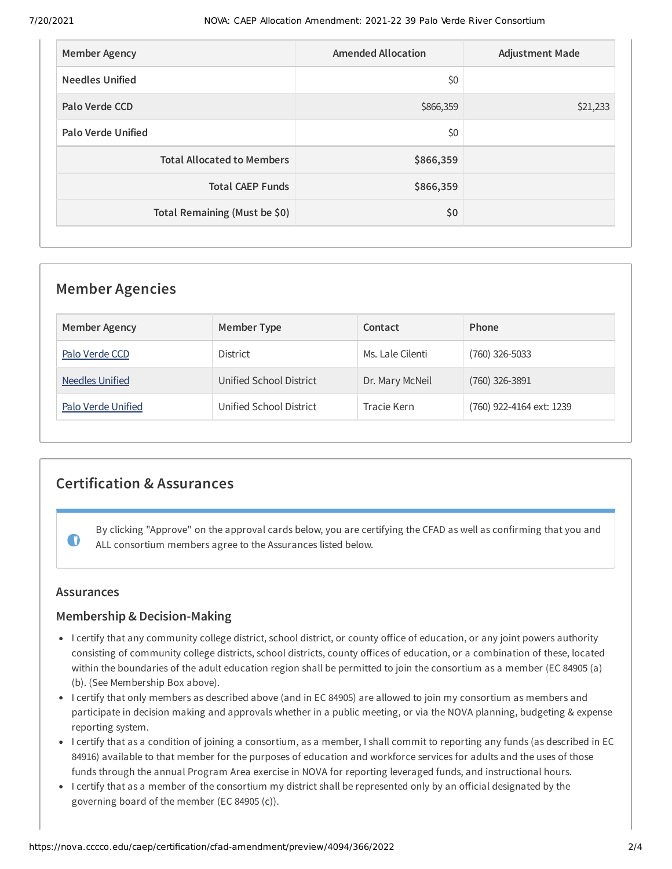| <b>Member Agency</b>              | <b>Amended Allocation</b> | <b>Adjustment Made</b> |
|-----------------------------------|---------------------------|------------------------|
| <b>Needles Unified</b>            | \$0                       |                        |
| Palo Verde CCD                    | \$866,359                 | \$21,233               |
| <b>Palo Verde Unified</b>         | \$0                       |                        |
| <b>Total Allocated to Members</b> | \$866,359                 |                        |
| <b>Total CAEP Funds</b>           | \$866,359                 |                        |
| Total Remaining (Must be \$0)     | \$0                       |                        |

| <b>Member Agencies</b> |                         |                  |                          |
|------------------------|-------------------------|------------------|--------------------------|
| <b>Member Agency</b>   | Member Type             | Contact          | Phone                    |
| Palo Verde CCD         | <b>District</b>         | Ms. Lale Cilenti | (760) 326-5033           |
| <b>Needles Unified</b> | Unified School District | Dr. Mary McNeil  | (760) 326-3891           |
| Palo Verde Unified     | Unified School District | Tracie Kern      | (760) 922-4164 ext: 1239 |

# **Certification & Assurances**

By clicking "Approve" on the approval cards below, you are certifying the CFAD as well as confirming that you and ALL consortium members agree to the Assurances listed below.

## **Assurances**

 $\blacksquare$ 

## **Membership & Decision-Making**

- I certify that any community college district, school district, or county office of education, or any joint powers authority consisting of community college districts, school districts, county offices of education, or a combination of these, located within the boundaries of the adult education region shall be permitted to join the consortium as a member (EC 84905 (a) (b). (See Membership Box above).
- I certify that only members as described above (and in EC 84905) are allowed to join my consortium as members and participate in decision making and approvals whether in a public meeting, or via the NOVA planning, budgeting & expense reporting system.
- I certify that as a condition of joining a consortium, as a member, I shall commit to reporting any funds (as described in EC 84916) available to that member for the purposes of education and workforce services for adults and the uses of those funds through the annual Program Area exercise in NOVA for reporting leveraged funds, and instructional hours.
- I certify that as a member of the consortium my district shall be represented only by an official designated by the governing board of the member (EC 84905 (c)).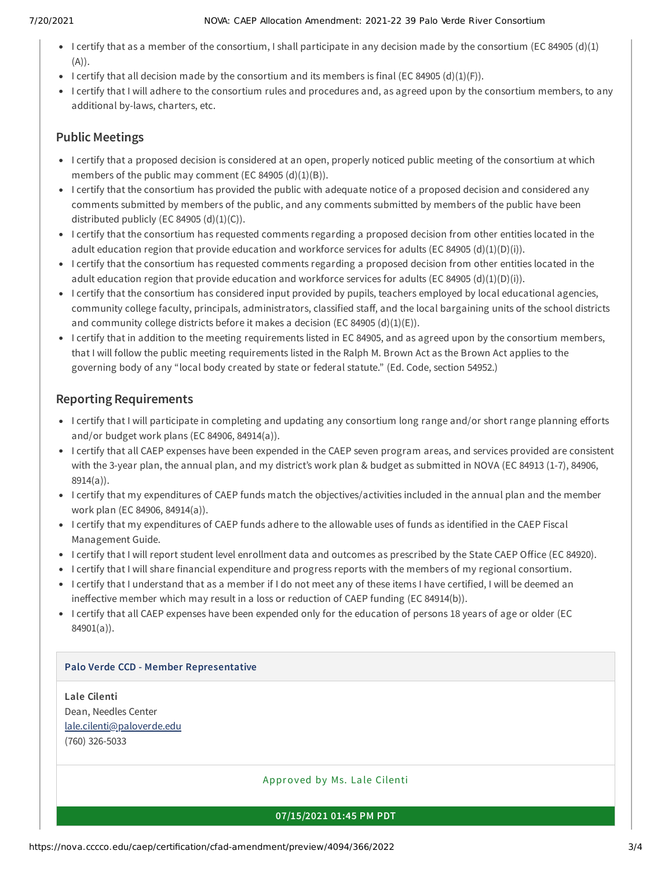- I certify that as a member of the consortium, I shall participate in any decision made by the consortium (EC 84905 (d)(1) (A)).
- I certify that all decision made by the consortium and its members is final (EC 84905 (d)(1)(F)).
- I certify that I will adhere to the consortium rules and procedures and, as agreed upon by the consortium members, to any additional by-laws, charters, etc.

# **Public Meetings**

- I certify that a proposed decision is considered at an open, properly noticed public meeting of the consortium at which members of the public may comment (EC 84905 (d)(1)(B)).
- I certify that the consortium has provided the public with adequate notice of a proposed decision and considered any comments submitted by members of the public, and any comments submitted by members of the public have been distributed publicly (EC 84905  $(d)(1)(C)$ ).
- I certify that the consortium has requested comments regarding a proposed decision from other entities located in the adult education region that provide education and workforce services for adults (EC 84905 (d)(1)(D)(i)).
- I certify that the consortium has requested comments regarding a proposed decision from other entities located in the adult education region that provide education and workforce services for adults (EC 84905 (d)(1)(D)(i)).
- I certify that the consortium has considered input provided by pupils, teachers employed by local educational agencies, community college faculty, principals, administrators, classified staff, and the local bargaining units of the school districts and community college districts before it makes a decision (EC 84905  $(d)(1)(E)$ ).
- I certify that in addition to the meeting requirements listed in EC 84905, and as agreed upon by the consortium members, that I will follow the public meeting requirements listed in the Ralph M. Brown Act as the Brown Act applies to the governing body of any "local body created by state or federal statute." (Ed. Code, section 54952.)

# **Reporting Requirements**

- I certify that I will participate in completing and updating any consortium long range and/or short range planning efforts and/or budget work plans (EC 84906, 84914(a)).
- I certify that all CAEP expenses have been expended in the CAEP seven program areas, and services provided are consistent with the 3-year plan, the annual plan, and my district's work plan & budget as submitted in NOVA (EC 84913 (1-7), 84906, 8914(a)).
- I certify that my expenditures of CAEP funds match the objectives/activities included in the annual plan and the member work plan (EC 84906, 84914(a)).
- I certify that my expenditures of CAEP funds adhere to the allowable uses of funds as identified in the CAEP Fiscal Management Guide.
- I certify that I will report student level enrollment data and outcomes as prescribed by the State CAEP Office (EC 84920).
- I certify that I will share financial expenditure and progress reports with the members of my regional consortium.
- I certify that I understand that as a member if I do not meet any of these items I have certified, I will be deemed an ineffective member which may result in a loss or reduction of CAEP funding (EC 84914(b)).
- I certify that all CAEP expenses have been expended only for the education of persons 18 years of age or older (EC 84901(a)).

### **Palo Verde CCD - Member Representative**

**Lale Cilenti** Dean, Needles Center [lale.cilenti@paloverde.edu](mailto:lale.cilenti@paloverde.edu) (760) 326-5033

Approved by Ms. Lale Cilenti

### **07/15/2021 01:45 PM PDT**